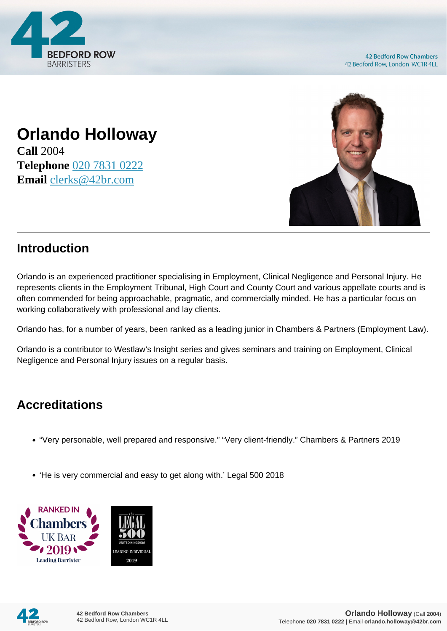

# **Orlando Holloway**

**Call** 2004 **Telephone** [020 7831 0222](https://pdf.codeshore.co/_42br/tel:020 7831 0222) **Email** [clerks@42br.com](mailto:clerks@42br.com)



## **Introduction**

Orlando is an experienced practitioner specialising in Employment, Clinical Negligence and Personal Injury. He represents clients in the Employment Tribunal, High Court and County Court and various appellate courts and is often commended for being approachable, pragmatic, and commercially minded. He has a particular focus on working collaboratively with professional and lay clients.

Orlando has, for a number of years, been ranked as a leading junior in Chambers & Partners (Employment Law).

Orlando is a contributor to Westlaw's Insight series and gives seminars and training on Employment, Clinical Negligence and Personal Injury issues on a regular basis.

# **Accreditations**

- "Very personable, well prepared and responsive." "Very client-friendly." Chambers & Partners 2019
- 'He is very commercial and easy to get along with.' Legal 500 2018